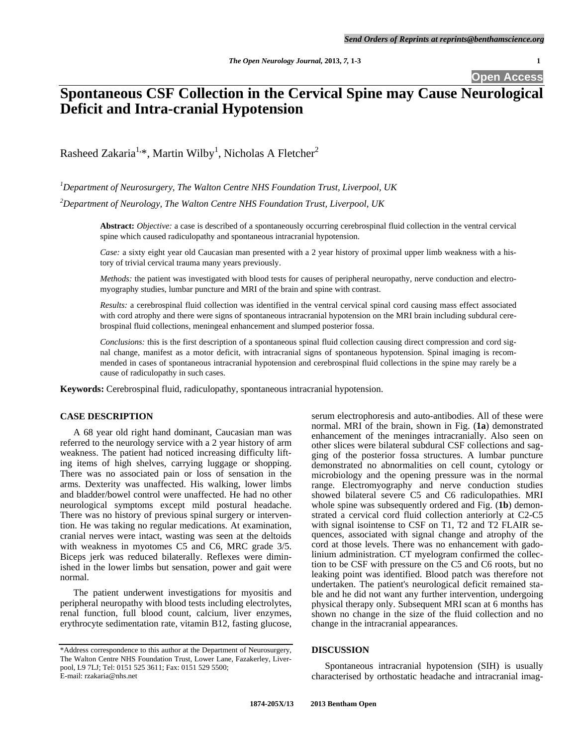**Open Access** 

# **Spontaneous CSF Collection in the Cervical Spine may Cause Neurological Deficit and Intra-cranial Hypotension**

Rasheed Zakaria<sup>1,\*</sup>, Martin Wilby<sup>1</sup>, Nicholas A Fletcher<sup>2</sup>

*1 Department of Neurosurgery, The Walton Centre NHS Foundation Trust, Liverpool, UK* 

*2 Department of Neurology, The Walton Centre NHS Foundation Trust, Liverpool, UK* 

**Abstract:** *Objective:* a case is described of a spontaneously occurring cerebrospinal fluid collection in the ventral cervical spine which caused radiculopathy and spontaneous intracranial hypotension.

*Case:* a sixty eight year old Caucasian man presented with a 2 year history of proximal upper limb weakness with a history of trivial cervical trauma many years previously.

*Methods:* the patient was investigated with blood tests for causes of peripheral neuropathy, nerve conduction and electromyography studies, lumbar puncture and MRI of the brain and spine with contrast.

*Results:* a cerebrospinal fluid collection was identified in the ventral cervical spinal cord causing mass effect associated with cord atrophy and there were signs of spontaneous intracranial hypotension on the MRI brain including subdural cerebrospinal fluid collections, meningeal enhancement and slumped posterior fossa.

*Conclusions:* this is the first description of a spontaneous spinal fluid collection causing direct compression and cord signal change, manifest as a motor deficit, with intracranial signs of spontaneous hypotension. Spinal imaging is recommended in cases of spontaneous intracranial hypotension and cerebrospinal fluid collections in the spine may rarely be a cause of radiculopathy in such cases.

**Keywords:** Cerebrospinal fluid, radiculopathy, spontaneous intracranial hypotension.

# **CASE DESCRIPTION**

 A 68 year old right hand dominant, Caucasian man was referred to the neurology service with a 2 year history of arm weakness. The patient had noticed increasing difficulty lifting items of high shelves, carrying luggage or shopping. There was no associated pain or loss of sensation in the arms. Dexterity was unaffected. His walking, lower limbs and bladder/bowel control were unaffected. He had no other neurological symptoms except mild postural headache. There was no history of previous spinal surgery or intervention. He was taking no regular medications. At examination, cranial nerves were intact, wasting was seen at the deltoids with weakness in myotomes C5 and C6, MRC grade 3/5. Biceps jerk was reduced bilaterally. Reflexes were diminished in the lower limbs but sensation, power and gait were normal.

 The patient underwent investigations for myositis and peripheral neuropathy with blood tests including electrolytes, renal function, full blood count, calcium, liver enzymes, erythrocyte sedimentation rate, vitamin B12, fasting glucose, serum electrophoresis and auto-antibodies. All of these were normal. MRI of the brain, shown in Fig. (**1a**) demonstrated enhancement of the meninges intracranially. Also seen on other slices were bilateral subdural CSF collections and sagging of the posterior fossa structures. A lumbar puncture demonstrated no abnormalities on cell count, cytology or microbiology and the opening pressure was in the normal range. Electromyography and nerve conduction studies showed bilateral severe C5 and C6 radiculopathies. MRI whole spine was subsequently ordered and Fig. (**1b**) demonstrated a cervical cord fluid collection anteriorly at C2-C5 with signal isointense to CSF on T1, T2 and T2 FLAIR sequences, associated with signal change and atrophy of the cord at those levels. There was no enhancement with gadolinium administration. CT myelogram confirmed the collection to be CSF with pressure on the C5 and C6 roots, but no leaking point was identified. Blood patch was therefore not undertaken. The patient's neurological deficit remained stable and he did not want any further intervention, undergoing physical therapy only. Subsequent MRI scan at 6 months has shown no change in the size of the fluid collection and no change in the intracranial appearances.

## **DISCUSSION**

 Spontaneous intracranial hypotension (SIH) is usually characterised by orthostatic headache and intracranial imag-

<sup>\*</sup>Address correspondence to this author at the Department of Neurosurgery, The Walton Centre NHS Foundation Trust, Lower Lane, Fazakerley, Liverpool, L9 7LJ; Tel: 0151 525 3611; Fax: 0151 529 5500; E-mail: rzakaria@nhs.net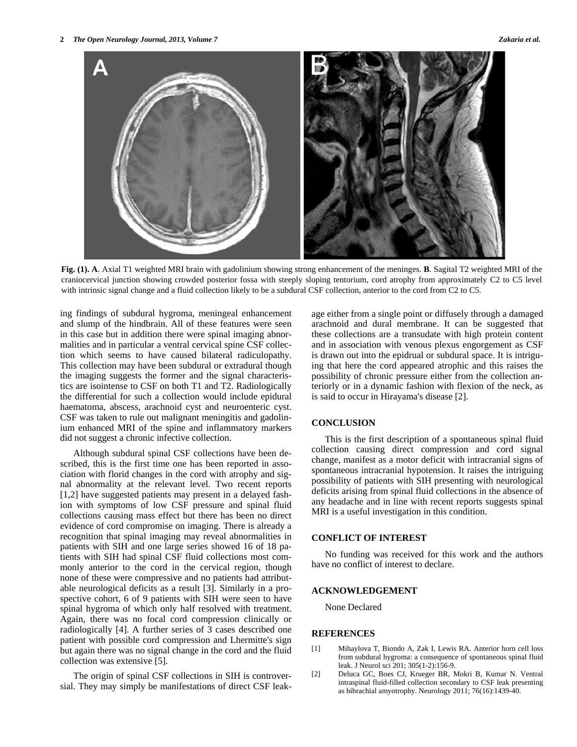

**Fig. (1). A**. Axial T1 weighted MRI brain with gadolinium showing strong enhancement of the meninges. **B**. Sagital T2 weighted MRI of the craniocervical junction showing crowded posterior fossa with steeply sloping tentorium, cord atrophy from approximately C2 to C5 level with intrinsic signal change and a fluid collection likely to be a subdural CSF collection, anterior to the cord from C2 to C5.

ing findings of subdural hygroma, meningeal enhancement and slump of the hindbrain. All of these features were seen in this case but in addition there were spinal imaging abnormalities and in particular a ventral cervical spine CSF collection which seems to have caused bilateral radiculopathy. This collection may have been subdural or extradural though the imaging suggests the former and the signal characteristics are isointense to CSF on both T1 and T2. Radiologically the differential for such a collection would include epidural haematoma, abscess, arachnoid cyst and neuroenteric cyst. CSF was taken to rule out malignant meningitis and gadolinium enhanced MRI of the spine and inflammatory markers did not suggest a chronic infective collection.

 Although subdural spinal CSF collections have been described, this is the first time one has been reported in association with florid changes in the cord with atrophy and signal abnormality at the relevant level. Two recent reports [1,2] have suggested patients may present in a delayed fashion with symptoms of low CSF pressure and spinal fluid collections causing mass effect but there has been no direct evidence of cord compromise on imaging. There is already a recognition that spinal imaging may reveal abnormalities in patients with SIH and one large series showed 16 of 18 patients with SIH had spinal CSF fluid collections most commonly anterior to the cord in the cervical region, though none of these were compressive and no patients had attributable neurological deficits as a result [3]. Similarly in a prospective cohort, 6 of 9 patients with SIH were seen to have spinal hygroma of which only half resolved with treatment. Again, there was no focal cord compression clinically or radiologically [4]. A further series of 3 cases described one patient with possible cord compression and Lhermitte's sign but again there was no signal change in the cord and the fluid collection was extensive [5].

 The origin of spinal CSF collections in SIH is controversial. They may simply be manifestations of direct CSF leakage either from a single point or diffusely through a damaged arachnoid and dural membrane. It can be suggested that these collections are a transudate with high protein content and in association with venous plexus engorgement as CSF is drawn out into the epidrual or subdural space. It is intriguing that here the cord appeared atrophic and this raises the possibility of chronic pressure either from the collection anteriorly or in a dynamic fashion with flexion of the neck, as is said to occur in Hirayama's disease [2].

### **CONCLUSION**

 This is the first description of a spontaneous spinal fluid collection causing direct compression and cord signal change, manifest as a motor deficit with intracranial signs of spontaneous intracranial hypotension. It raises the intriguing possibility of patients with SIH presenting with neurological deficits arising from spinal fluid collections in the absence of any headache and in line with recent reports suggests spinal MRI is a useful investigation in this condition.

#### **CONFLICT OF INTEREST**

 No funding was received for this work and the authors have no conflict of interest to declare.

# **ACKNOWLEDGEMENT**

None Declared

# **REFERENCES**

- [1] Mihaylova T, Biondo A, Zak I, Lewis RA. Anterior horn cell loss from subdural hygroma: a consequence of spontaneous spinal fluid leak. J Neurol sci 201; 305(1-2):156-9.
- [2] Deluca GC, Boes CJ, Krueger BR, Mokri B, Kumar N. Ventral intraspinal fluid-filled collection secondary to CSF leak presenting as bibrachial amyotrophy. Neurology 2011; 76(16):1439-40.